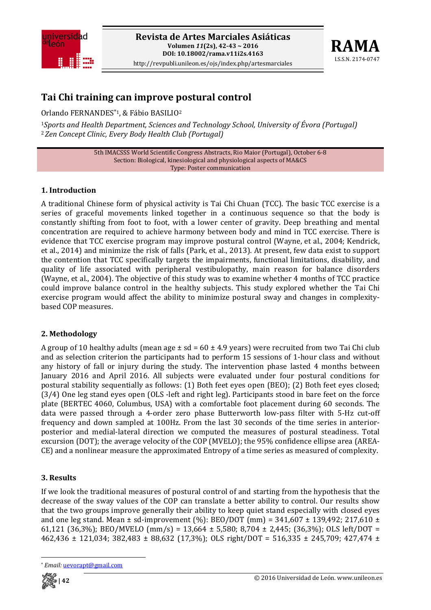



# **Tai Chi training can improve postural control**

Orlando FERNANDES\*1, & Fábio BASILIO2

<sup>1</sup>*Sports and Health Department, Sciences and Technology School, University of Évora (Portugal)* <sup>2</sup>*Zen Concept Clinic, Every Body Health Club (Portugal)*

> 5th IMACSSS World Scientific Congress Abstracts, Rio Maior (Portugal), October 6‐8 Section: Biological, kinesiological and physiological aspects of MA&CS Type: Poster communication

### **1. Introduction**

A traditional Chinese form of physical activity is Tai Chi Chuan (TCC). The basic TCC exercise is a series of graceful movements linked together in a continuous sequence so that the body is constantly shifting from foot to foot, with a lower center of gravity. Deep breathing and mental concentration are required to achieve harmony between body and mind in TCC exercise. There is evidence that TCC exercise program may improve postural control (Wayne, et al., 2004; Kendrick, et al., 2014) and minimize the risk of falls (Park, et al., 2013). At present, few data exist to support the contention that TCC specifically targets the impairments, functional limitations, disability, and quality of life associated with peripheral vestibulopathy, main reason for balance disorders (Wayne, et al., 2004). The objective of this study was to examine whether 4 months of TCC practice could improve balance control in the healthy subjects. This study explored whether the Tai Chi exercise program would affect the ability to minimize postural sway and changes in complexitybased COP measures.

### **2. Methodology**

A group of 10 healthy adults (mean age  $\pm$  sd = 60  $\pm$  4.9 years) were recruited from two Tai Chi club and as selection criterion the participants had to perform 15 sessions of 1‐hour class and without any history of fall or injury during the study. The intervention phase lasted 4 months between January 2016 and April 2016. All subjects were evaluated under four postural conditions for postural stability sequentially as follows: (1) Both feet eyes open (BEO); (2) Both feet eyes closed; (3/4) One leg stand eyes open (OLS ‐left and right leg). Participants stood in bare feet on the force plate (BERTEC 4060, Columbus, USA) with a comfortable foot placement during 60 seconds. The data were passed through a 4-order zero phase Butterworth low-pass filter with 5-Hz cut-off frequency and down sampled at 100Hz. From the last 30 seconds of the time series in anteriorposterior and medial-lateral direction we computed the measures of postural steadiness. Total excursion (DOT); the average velocity of the COP (MVELO); the 95% confidence ellipse area (AREA‐ CE) and a nonlinear measure the approximated Entropy of a time series as measured of complexity.

## **3. Results**

If we look the traditional measures of postural control of and starting from the hypothesis that the decrease of the sway values of the COP can translate a better ability to control. Our results show that the two groups improve generally their ability to keep quiet stand especially with closed eyes and one leg stand. Mean  $\pm$  sd-improvement (%): BEO/DOT (mm) = 341,607  $\pm$  139,492; 217,610  $\pm$ 61,121 (36,3%); BEO/MVELO (mm/s) = 13,664 ± 5,580; 8,704 ± 2,445; (36,3%); OLS left/DOT =  $462,436 \pm 121,034$ ;  $382,483 \pm 88,632$  (17,3%); OLS right/DOT = 516,335  $\pm$  245,709; 427,474  $\pm$ 

<sup>\*</sup> *Email:* uevorapt@gmail.com